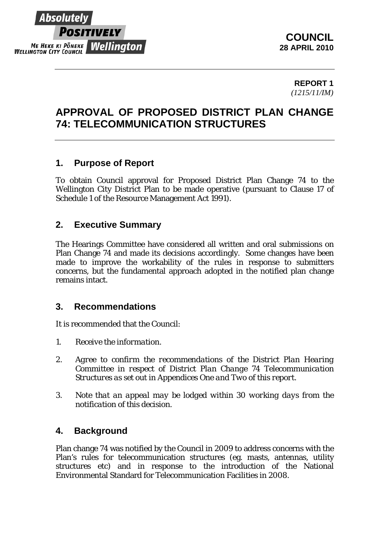

**REPORT 1**  *(1215/11/IM)* 

## **APPROVAL OF PROPOSED DISTRICT PLAN CHANGE 74: TELECOMMUNICATION STRUCTURES**

## **1. Purpose of Report**

To obtain Council approval for Proposed District Plan Change 74 to the Wellington City District Plan to be made operative (pursuant to Clause 17 of Schedule 1 of the Resource Management Act 1991).

### **2. Executive Summary**

The Hearings Committee have considered all written and oral submissions on Plan Change 74 and made its decisions accordingly. Some changes have been made to improve the workability of the rules in response to submitters concerns, but the fundamental approach adopted in the notified plan change remains intact.

#### **3. Recommendations**

It is recommended that the Council:

- *1. Receive the information.*
- *2. Agree to confirm the recommendations of the District Plan Hearing Committee in respect of District Plan Change 74 Telecommunication Structures as set out in Appendices One and Two of this report.*
- *3. Note that an appeal may be lodged within 30 working days from the notification of this decision.*

#### **4. Background**

Plan change 74 was notified by the Council in 2009 to address concerns with the Plan's rules for telecommunication structures (eg. masts, antennas, utility structures etc) and in response to the introduction of the National Environmental Standard for Telecommunication Facilities in 2008.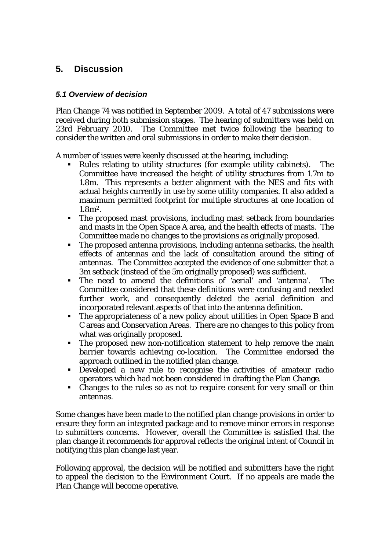## **5. Discussion**

#### *5.1 Overview of decision*

Plan Change 74 was notified in September 2009. A total of 47 submissions were received during both submission stages. The hearing of submitters was held on 23rd February 2010. The Committee met twice following the hearing to consider the written and oral submissions in order to make their decision.

A number of issues were keenly discussed at the hearing, including:

- Rules relating to utility structures (for example utility cabinets). The Committee have increased the height of utility structures from 1.7m to 1.8m. This represents a better alignment with the NES and fits with actual heights currently in use by some utility companies. It also added a maximum permitted footprint for multiple structures at one location of 1.8m2.
- The proposed mast provisions, including mast setback from boundaries and masts in the Open Space A area, and the health effects of masts. The Committee made no changes to the provisions as originally proposed.
- The proposed antenna provisions, including antenna setbacks, the health effects of antennas and the lack of consultation around the siting of antennas. The Committee accepted the evidence of one submitter that a 3m setback (instead of the 5m originally proposed) was sufficient.
- The need to amend the definitions of 'aerial' and 'antenna'. The Committee considered that these definitions were confusing and needed further work, and consequently deleted the aerial definition and incorporated relevant aspects of that into the antenna definition.
- The appropriateness of a new policy about utilities in Open Space B and C areas and Conservation Areas. There are no changes to this policy from what was originally proposed.
- The proposed new non-notification statement to help remove the main barrier towards achieving co-location. The Committee endorsed the approach outlined in the notified plan change.
- Developed a new rule to recognise the activities of amateur radio operators which had not been considered in drafting the Plan Change.
- Changes to the rules so as not to require consent for very small or thin antennas.

Some changes have been made to the notified plan change provisions in order to ensure they form an integrated package and to remove minor errors in response to submitters concerns. However, overall the Committee is satisfied that the plan change it recommends for approval reflects the original intent of Council in notifying this plan change last year.

Following approval, the decision will be notified and submitters have the right to appeal the decision to the Environment Court. If no appeals are made the Plan Change will become operative.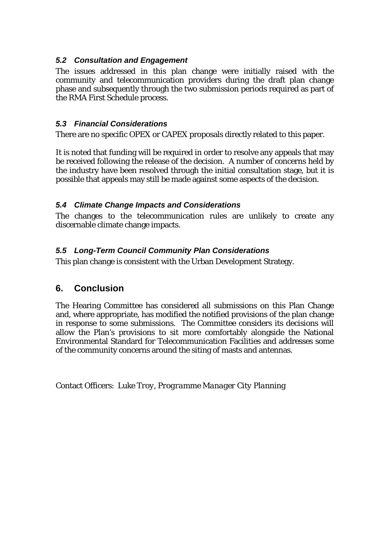#### *5.2 Consultation and Engagement*

The issues addressed in this plan change were initially raised with the community and telecommunication providers during the draft plan change phase and subsequently through the two submission periods required as part of the RMA First Schedule process.

#### *5.3 Financial Considerations*

There are no specific OPEX or CAPEX proposals directly related to this paper.

It is noted that funding will be required in order to resolve any appeals that may be received following the release of the decision. A number of concerns held by the industry have been resolved through the initial consultation stage, but it is possible that appeals may still be made against some aspects of the decision.

#### *5.4 Climate Change Impacts and Considerations*

The changes to the telecommunication rules are unlikely to create any discernable climate change impacts.

#### *5.5 Long-Term Council Community Plan Considerations*

This plan change is consistent with the Urban Development Strategy.

#### **6. Conclusion**

The Hearing Committee has considered all submissions on this Plan Change and, where appropriate, has modified the notified provisions of the plan change in response to some submissions. The Committee considers its decisions will allow the Plan's provisions to sit more comfortably alongside the National Environmental Standard for Telecommunication Facilities and addresses some of the community concerns around the siting of masts and antennas.

Contact Officers: *Luke Troy, Programme Manager City Planning*